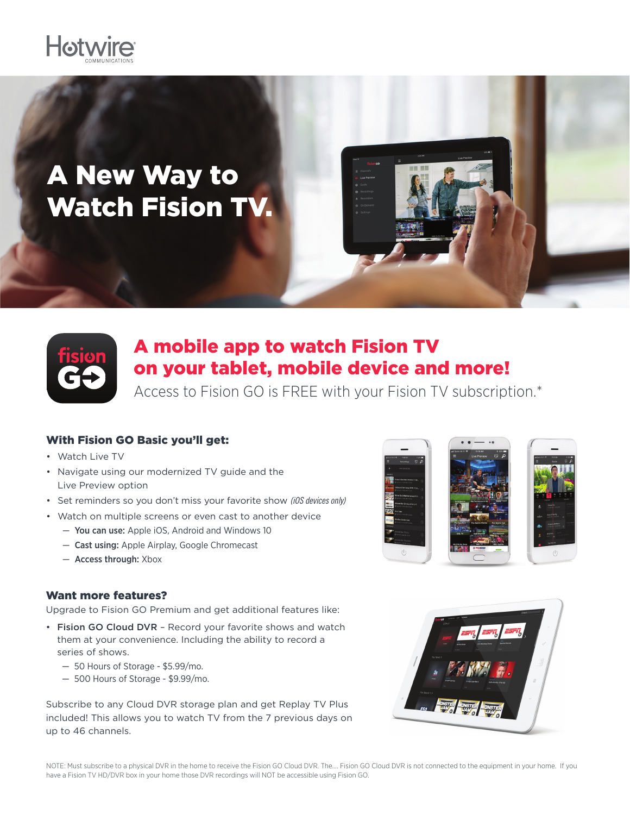

# A New Way to Watch Fision TV.



### A mobile app to watch Fision TV on your tablet, mobile device and more!

Access to Fision GO is FREE with your Fision TV subscription.\*

### With Fision GO Basic you'll get:

- Watch Live TV
- Navigate using our modernized TV guide and the Live Preview option
- Set reminders so you don't miss your favorite show *(iOS devices only)*
- Watch on multiple screens or even cast to another device
	- You can use: Apple iOS, Android and Windows 10
	- Cast using: Apple Airplay, Google Chromecast
	- Access through: Xbox

### Want more features?

Upgrade to Fision GO Premium and get additional features like:

- Fision GO Cloud DVR Record your favorite shows and watch them at your convenience. Including the ability to record a series of shows.
	- 50 Hours of Storage \$5.99/mo.
	- 500 Hours of Storage \$9.99/mo.

Subscribe to any Cloud DVR storage plan and get Replay TV Plus included! This allows you to watch TV from the 7 previous days on up to 46 channels.